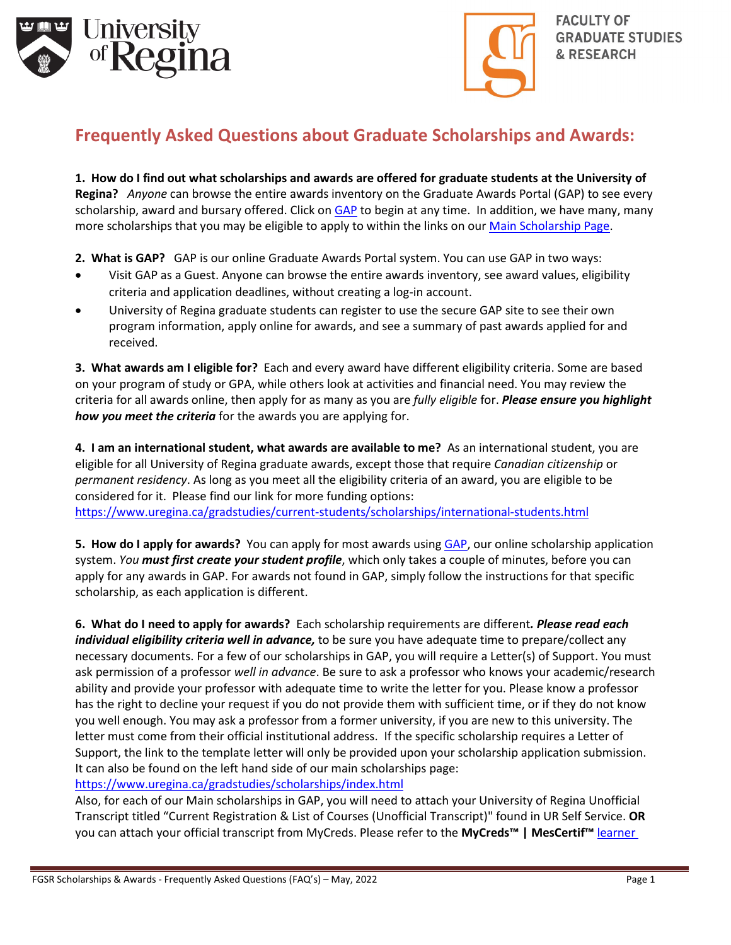



## **Frequently Asked Questions about Graduate Scholarships and Awards:**

**1. How do I find out what scholarships and awards are offered for graduate students at the University of Regina?** *Anyone* can browse the entire awards inventory on the Graduate Awards Portal (GAP) to see every scholarship, award and bursary offered. Click on [GAP](https://banner.uregina.ca:17025/apex_sagp/f?p=127:101:6111673368164) to begin at any time. In addition, we have many, many more scholarships that you may be eligible to apply to within the links on our [Main Scholarship Page.](https://www.uregina.ca/gradstudies/current-students/scholarships/index.html)

**2. What is GAP?** GAP is our online Graduate Awards Portal system. You can use GAP in two ways:

- Visit GAP as a Guest. Anyone can browse the entire awards inventory, see award values, eligibility criteria and application deadlines, without creating a log-in account.
- University of Regina graduate students can register to use the secure GAP site to see their own program information, apply online for awards, and see a summary of past awards applied for and received.

**3. What awards am I eligible for?** Each and every award have different eligibility criteria. Some are based on your program of study or GPA, while others look at activities and financial need. You may review the criteria for all awards online, then apply for as many as you are *fully eligible* for. *Please ensure you highlight how you meet the criteria* for the awards you are applying for.

**4. I am an international student, what awards are available to me?** As an international student, you are eligible for all University of Regina graduate awards, except those that require *Canadian citizenship* or *permanent residency*. As long as you meet all the eligibility criteria of an award, you are eligible to be considered for it. Please find our link for more funding options: <https://www.uregina.ca/gradstudies/current-students/scholarships/international-students.html>

**5. How do I apply for awards?** You can apply for most awards using [GAP,](https://banner.uregina.ca:17025/apex_sagp/f?p=127:101:18204185610643) our online scholarship application system. *You must first create your student profile*, which only takes a couple of minutes, before you can apply for any awards in GAP. For awards not found in GAP, simply follow the instructions for that specific scholarship, as each application is different.

**6. What do I need to apply for awards?** Each scholarship requirements are different*. Please read each individual eligibility criteria well in advance,* to be sure you have adequate time to prepare/collect any necessary documents. For a few of our scholarships in GAP, you will require a Letter(s) of Support. You must ask permission of a professor *well in advance*. Be sure to ask a professor who knows your academic/research ability and provide your professor with adequate time to write the letter for you. Please know a professor has the right to decline your request if you do not provide them with sufficient time, or if they do not know you well enough. You may ask a professor from a former university, if you are new to this university. The letter must come from their official institutional address. If the specific scholarship requires a Letter of Support, the link to the template letter will only be provided upon your scholarship application submission. It can also be found on the left hand side of our main scholarships page:

<https://www.uregina.ca/gradstudies/scholarships/index.html>

Also, for each of our Main scholarships in GAP, you will need to attach your University of Regina Unofficial Transcript titled "Current Registration & List of Courses (Unofficial Transcript)" found in UR Self Service. **OR**  you can attach your official transcript from MyCreds. Please refer to the **MyCreds™ | MesCertif™** [learner](https://mycreds.ca/learners/faqs/)